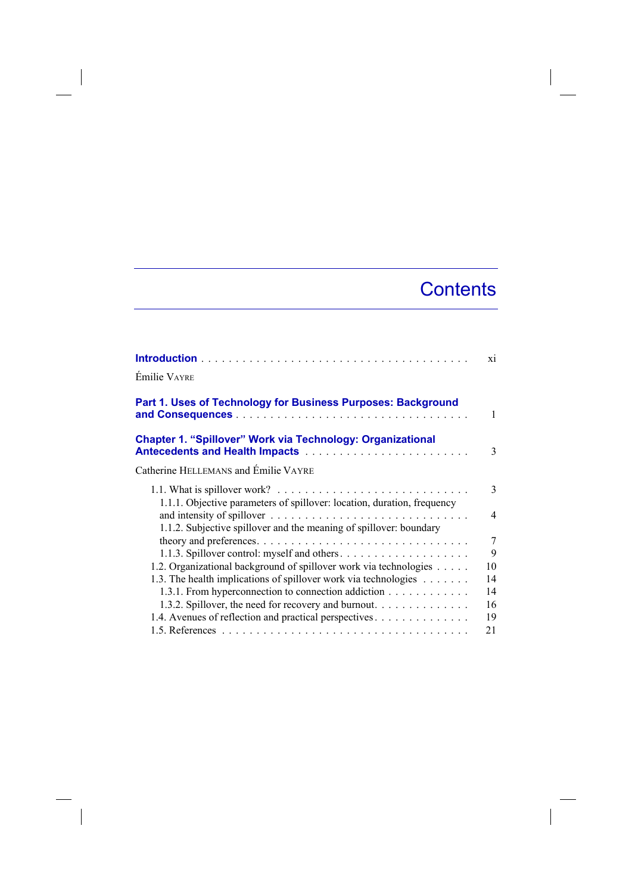## **Contents**

 $\overline{\phantom{a}}$ 

|                                                                                                                                                                          | xi             |
|--------------------------------------------------------------------------------------------------------------------------------------------------------------------------|----------------|
| <b>Émilie VAYRE</b>                                                                                                                                                      |                |
| Part 1. Uses of Technology for Business Purposes: Background                                                                                                             | 1              |
| <b>Chapter 1. "Spillover" Work via Technology: Organizational</b>                                                                                                        | 3              |
| Catherine HELLEMANS and Emilie VAYRE                                                                                                                                     |                |
| 1.1. What is spillover work? $\ldots \ldots \ldots \ldots \ldots \ldots \ldots \ldots \ldots$<br>1.1.1. Objective parameters of spillover: location, duration, frequency | 3              |
| 1.1.2. Subjective spillover and the meaning of spillover: boundary                                                                                                       | $\overline{4}$ |
|                                                                                                                                                                          | 7              |
|                                                                                                                                                                          | 9              |
| 1.2. Organizational background of spillover work via technologies                                                                                                        | 10             |
| 1.3. The health implications of spillover work via technologies                                                                                                          | 14             |
| 1.3.1. From hyperconnection to connection addiction                                                                                                                      | 14             |
| 1.3.2. Spillover, the need for recovery and burnout.                                                                                                                     | 16             |
| 1.4. Avenues of reflection and practical perspectives                                                                                                                    | 19             |
|                                                                                                                                                                          | 21             |

 $\begin{array}{c} \hline \end{array}$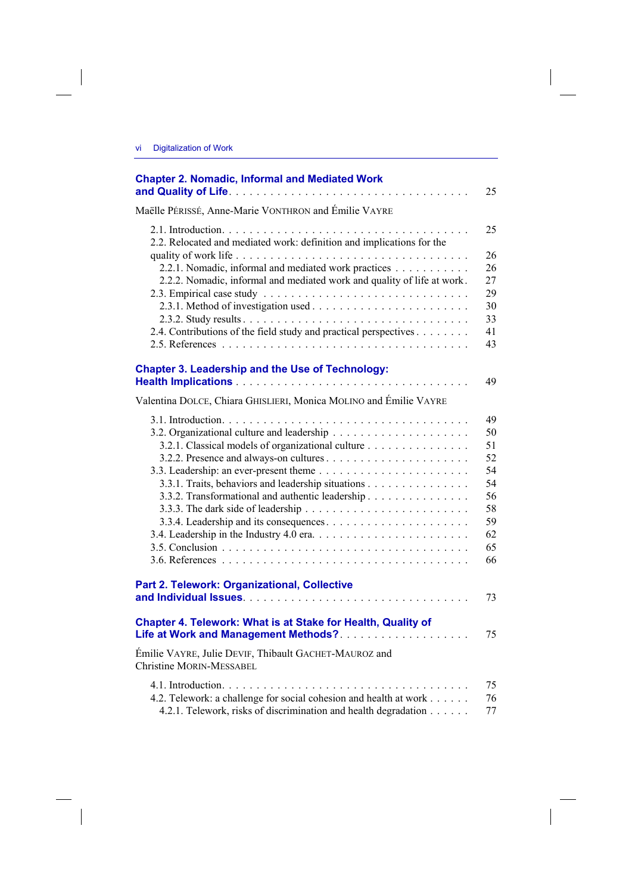$\overline{\phantom{a}}$ 

 $\begin{array}{c} \hline \end{array}$ 

| <b>Chapter 2. Nomadic, Informal and Mediated Work</b>                                                                                | 25       |
|--------------------------------------------------------------------------------------------------------------------------------------|----------|
| Maëlle PÉRISSÉ, Anne-Marie VONTHRON and Émilie VAYRE                                                                                 |          |
| 2.2. Relocated and mediated work: definition and implications for the                                                                | 25       |
|                                                                                                                                      | 26<br>26 |
| 2.2.1. Nomadic, informal and mediated work practices<br>2.2.2. Nomadic, informal and mediated work and quality of life at work.      | 27       |
|                                                                                                                                      | 29       |
|                                                                                                                                      | 30       |
| 2.4. Contributions of the field study and practical perspectives                                                                     | 33<br>41 |
|                                                                                                                                      | 43       |
| <b>Chapter 3. Leadership and the Use of Technology:</b>                                                                              |          |
|                                                                                                                                      | 49       |
| Valentina DOLCE, Chiara GHISLIERI, Monica MOLINO and Émilie VAYRE                                                                    |          |
|                                                                                                                                      | 49       |
|                                                                                                                                      | 50       |
| 3.2.1. Classical models of organizational culture                                                                                    | 51<br>52 |
|                                                                                                                                      | 54       |
| 3.3.1. Traits, behaviors and leadership situations                                                                                   | 54       |
| 3.3.2. Transformational and authentic leadership                                                                                     | 56       |
|                                                                                                                                      | 58<br>59 |
|                                                                                                                                      | 62       |
|                                                                                                                                      | 65       |
|                                                                                                                                      | 66       |
| <b>Part 2. Telework: Organizational, Collective</b>                                                                                  | 73       |
|                                                                                                                                      |          |
| Chapter 4. Telework: What is at Stake for Health, Quality of<br>Life at Work and Management Methods?                                 | 75       |
| Émilie VAYRE, Julie DEVIF, Thibault GACHET-MAUROZ and<br><b>Christine MORIN-MESSABEL</b>                                             |          |
|                                                                                                                                      | 75       |
| 4.2. Telework: a challenge for social cohesion and health at work<br>4.2.1. Telework, risks of discrimination and health degradation | 76<br>77 |

 $\overline{\phantom{a}}$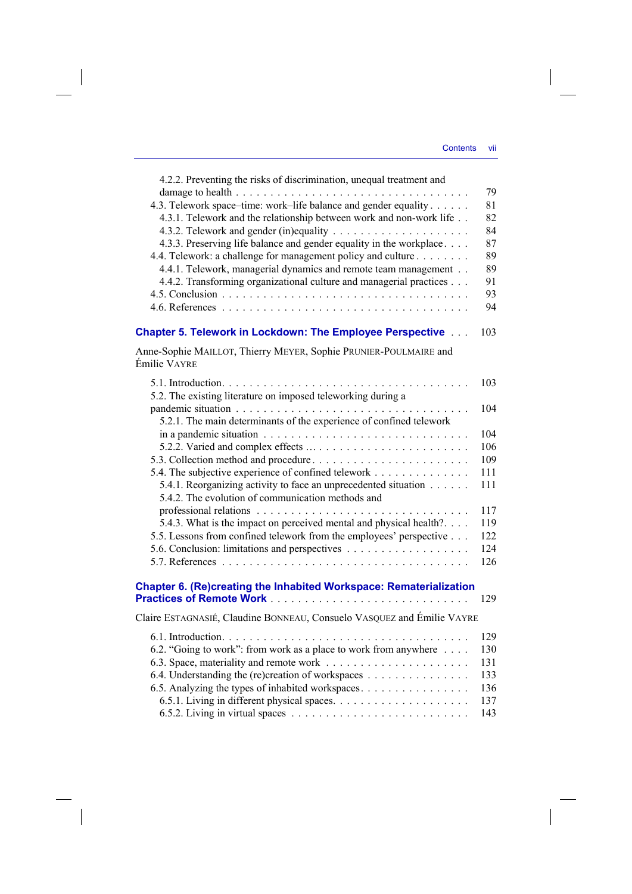$\overline{\phantom{a}}$ 

| 4.2.2. Preventing the risks of discrimination, unequal treatment and                                                 | 79  |
|----------------------------------------------------------------------------------------------------------------------|-----|
| 4.3. Telework space-time: work-life balance and gender equality                                                      | 81  |
| 4.3.1. Telework and the relationship between work and non-work life                                                  | 82  |
|                                                                                                                      | 84  |
| 4.3.3. Preserving life balance and gender equality in the workplace                                                  | 87  |
| 4.4. Telework: a challenge for management policy and culture                                                         | 89  |
| 4.4.1. Telework, managerial dynamics and remote team management                                                      | 89  |
| 4.4.2. Transforming organizational culture and managerial practices                                                  | 91  |
|                                                                                                                      | 93  |
|                                                                                                                      | 94  |
| <b>Chapter 5. Telework in Lockdown: The Employee Perspective </b>                                                    | 103 |
| Anne-Sophie MAILLOT, Thierry MEYER, Sophie PRUNIER-POULMAIRE and                                                     |     |
| Émilie VAYRE                                                                                                         |     |
| 5.2. The existing literature on imposed teleworking during a                                                         | 103 |
| 5.2.1. The main determinants of the experience of confined telework                                                  | 104 |
|                                                                                                                      | 104 |
|                                                                                                                      | 106 |
|                                                                                                                      | 109 |
| 5.4. The subjective experience of confined telework                                                                  | 111 |
| 5.4.1. Reorganizing activity to face an unprecedented situation<br>5.4.2. The evolution of communication methods and | 111 |
|                                                                                                                      | 117 |
| 5.4.3. What is the impact on perceived mental and physical health?                                                   | 119 |
| 5.5. Lessons from confined telework from the employees' perspective                                                  | 122 |
|                                                                                                                      | 124 |
|                                                                                                                      | 126 |
| Chapter 6. (Re)creating the Inhabited Workspace: Rematerialization                                                   | 129 |
|                                                                                                                      |     |
| Claire ESTAGNASIÉ, Claudine BONNEAU, Consuelo VASQUEZ and Émilie VAYRE                                               |     |
|                                                                                                                      | 129 |
| 6.2. "Going to work": from work as a place to work from anywhere                                                     | 130 |
|                                                                                                                      | 131 |
| 6.4. Understanding the (re)creation of workspaces                                                                    | 133 |
| 6.5. Analyzing the types of inhabited workspaces                                                                     | 136 |
|                                                                                                                      | 137 |
|                                                                                                                      | 143 |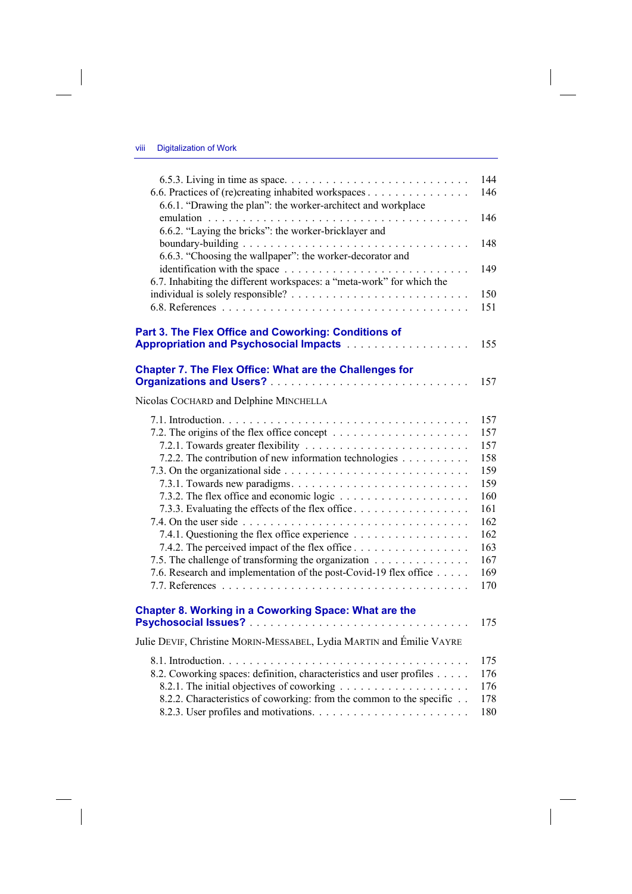$\overline{\phantom{a}}$ 

 $\begin{array}{c} \hline \end{array}$ 

| 6.6. Practices of (re)creating inhabited workspaces                                                   | 144<br>146 |
|-------------------------------------------------------------------------------------------------------|------------|
| 6.6.1. "Drawing the plan": the worker-architect and workplace                                         | 146        |
| 6.6.2. "Laying the bricks": the worker-bricklayer and                                                 |            |
| 6.6.3. "Choosing the wallpaper": the worker-decorator and                                             | 148        |
| .<br>6.7. Inhabiting the different workspaces: a "meta-work" for which the                            | 149        |
|                                                                                                       | 150<br>151 |
| Part 3. The Flex Office and Coworking: Conditions of                                                  |            |
| Appropriation and Psychosocial Impacts [11] Appropriation and Psychosocial Impacts [11] Appropriation | 155        |
| <b>Chapter 7. The Flex Office: What are the Challenges for</b>                                        | 157        |
| Nicolas COCHARD and Delphine MINCHELLA                                                                |            |
|                                                                                                       | 157        |
|                                                                                                       | 157        |
|                                                                                                       | 157        |
| 7.2.2. The contribution of new information technologies                                               | 158        |
|                                                                                                       | 159        |
|                                                                                                       | 159<br>160 |
|                                                                                                       | 161        |
| 7.3.3. Evaluating the effects of the flex office                                                      | 162        |
| 7.4.1. Questioning the flex office experience                                                         | 162        |
| 7.4.2. The perceived impact of the flex office                                                        | 163        |
| 7.5. The challenge of transforming the organization                                                   | 167        |
| 7.6. Research and implementation of the post-Covid-19 flex office                                     | 169        |
|                                                                                                       | 170        |
| Chapter 8. Working in a Coworking Space: What are the                                                 |            |
|                                                                                                       | 175        |
| Julie DEVIF, Christine MORIN-MESSABEL, Lydia MARTIN and Émilie VAYRE                                  |            |
|                                                                                                       | 175        |
| 8.2. Coworking spaces: definition, characteristics and user profiles                                  | 176        |
|                                                                                                       | 176        |
| 8.2.2. Characteristics of coworking: from the common to the specific                                  | 178        |
|                                                                                                       | 180        |

 $\overline{\phantom{a}}$